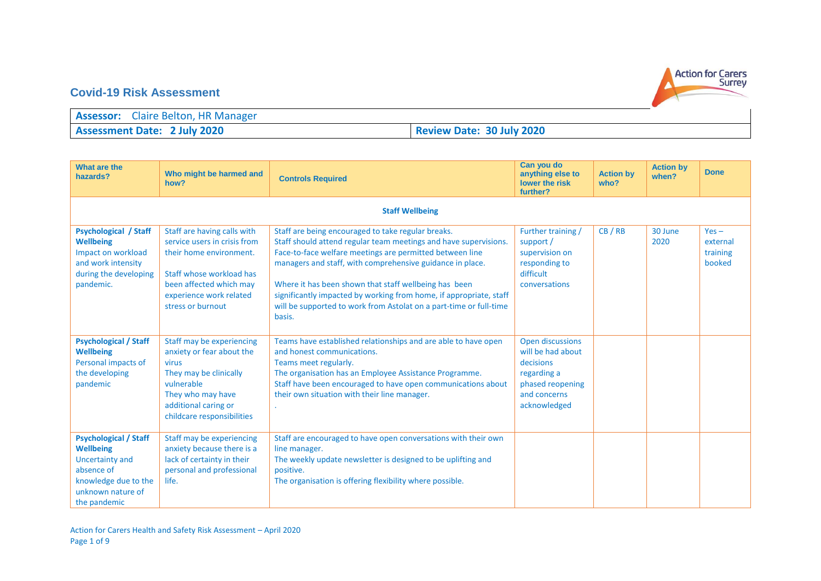

## **Covid-19 Risk Assessment**

| <b>Assessor:</b> Claire Belton, HR Manager |                                  |
|--------------------------------------------|----------------------------------|
| <b>Assessment Date: 2 July 2020</b>        | <b>Review Date: 30 July 2020</b> |

| What are the<br>hazards?                                                                                                                              | Who might be harmed and<br>how?                                                                                                                                                               | <b>Controls Required</b>                                                                                                                                                                                                                                                                                                                                                                                                                                       | Can you do<br>anything else to<br>lower the risk<br>further?                                                          | <b>Action by</b><br>who? | <b>Action by</b><br>when? | <b>Done</b>                               |
|-------------------------------------------------------------------------------------------------------------------------------------------------------|-----------------------------------------------------------------------------------------------------------------------------------------------------------------------------------------------|----------------------------------------------------------------------------------------------------------------------------------------------------------------------------------------------------------------------------------------------------------------------------------------------------------------------------------------------------------------------------------------------------------------------------------------------------------------|-----------------------------------------------------------------------------------------------------------------------|--------------------------|---------------------------|-------------------------------------------|
|                                                                                                                                                       |                                                                                                                                                                                               | <b>Staff Wellbeing</b>                                                                                                                                                                                                                                                                                                                                                                                                                                         |                                                                                                                       |                          |                           |                                           |
| <b>Psychological / Staff</b><br><b>Wellbeing</b><br>Impact on workload<br>and work intensity<br>during the developing<br>pandemic.                    | Staff are having calls with<br>service users in crisis from<br>their home environment.<br>Staff whose workload has<br>been affected which may<br>experience work related<br>stress or burnout | Staff are being encouraged to take regular breaks.<br>Staff should attend regular team meetings and have supervisions.<br>Face-to-face welfare meetings are permitted between line<br>managers and staff, with comprehensive guidance in place.<br>Where it has been shown that staff wellbeing has been<br>significantly impacted by working from home, if appropriate, staff<br>will be supported to work from Astolat on a part-time or full-time<br>basis. | Further training /<br>support /<br>supervision on<br>responding to<br>difficult<br>conversations                      | CB/RB                    | 30 June<br>2020           | $Yes -$<br>external<br>training<br>booked |
| <b>Psychological / Staff</b><br><b>Wellbeing</b><br>Personal impacts of<br>the developing<br>pandemic                                                 | Staff may be experiencing<br>anxiety or fear about the<br>virus<br>They may be clinically<br>vulnerable<br>They who may have<br>additional caring or<br>childcare responsibilities            | Teams have established relationships and are able to have open<br>and honest communications.<br>Teams meet regularly.<br>The organisation has an Employee Assistance Programme.<br>Staff have been encouraged to have open communications about<br>their own situation with their line manager.                                                                                                                                                                | Open discussions<br>will be had about<br>decisions<br>regarding a<br>phased reopening<br>and concerns<br>acknowledged |                          |                           |                                           |
| <b>Psychological / Staff</b><br><b>Wellbeing</b><br><b>Uncertainty and</b><br>absence of<br>knowledge due to the<br>unknown nature of<br>the pandemic | Staff may be experiencing<br>anxiety because there is a<br>lack of certainty in their<br>personal and professional<br>life.                                                                   | Staff are encouraged to have open conversations with their own<br>line manager.<br>The weekly update newsletter is designed to be uplifting and<br>positive.<br>The organisation is offering flexibility where possible.                                                                                                                                                                                                                                       |                                                                                                                       |                          |                           |                                           |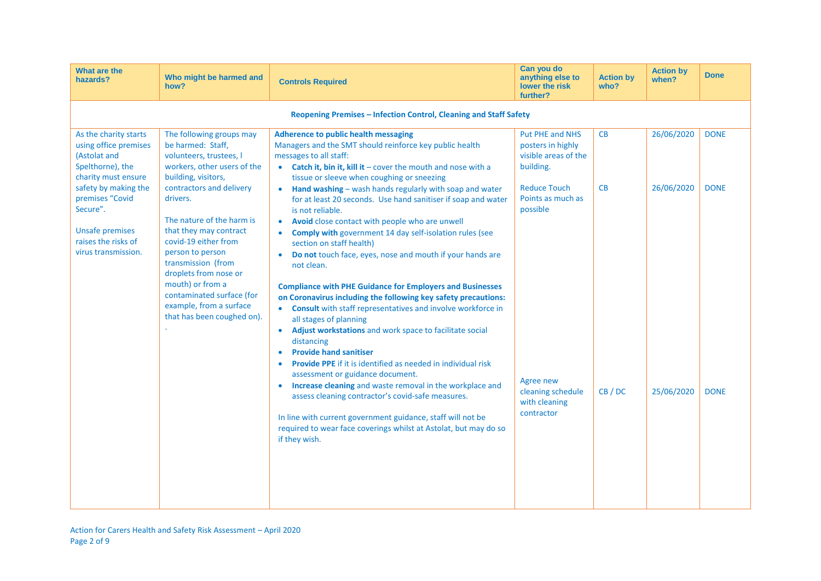| What are the<br>hazards?                                                                                                                                                                                                                 | Who might be harmed and<br>how?                                                                                                                                                                                                                                                                                                                                                                                                    | <b>Controls Required</b>                                                                                                                                                                                                                                                                                                                                                                                                                                                                                                                                                                                                                                                                                                                                                                                                                                                                                                                                                                                                                                                                                                                                                                                                                                                                                                                                                                               | Can you do<br>anything else to<br>lower the risk<br>further?                                                                                                                                       | <b>Action by</b><br>who? | <b>Action by</b><br>when?              | <b>Done</b>                               |
|------------------------------------------------------------------------------------------------------------------------------------------------------------------------------------------------------------------------------------------|------------------------------------------------------------------------------------------------------------------------------------------------------------------------------------------------------------------------------------------------------------------------------------------------------------------------------------------------------------------------------------------------------------------------------------|--------------------------------------------------------------------------------------------------------------------------------------------------------------------------------------------------------------------------------------------------------------------------------------------------------------------------------------------------------------------------------------------------------------------------------------------------------------------------------------------------------------------------------------------------------------------------------------------------------------------------------------------------------------------------------------------------------------------------------------------------------------------------------------------------------------------------------------------------------------------------------------------------------------------------------------------------------------------------------------------------------------------------------------------------------------------------------------------------------------------------------------------------------------------------------------------------------------------------------------------------------------------------------------------------------------------------------------------------------------------------------------------------------|----------------------------------------------------------------------------------------------------------------------------------------------------------------------------------------------------|--------------------------|----------------------------------------|-------------------------------------------|
|                                                                                                                                                                                                                                          |                                                                                                                                                                                                                                                                                                                                                                                                                                    | Reopening Premises - Infection Control, Cleaning and Staff Safety                                                                                                                                                                                                                                                                                                                                                                                                                                                                                                                                                                                                                                                                                                                                                                                                                                                                                                                                                                                                                                                                                                                                                                                                                                                                                                                                      |                                                                                                                                                                                                    |                          |                                        |                                           |
| As the charity starts<br>using office premises<br>(Astolat and<br>Spelthorne), the<br>charity must ensure<br>safety by making the<br>premises "Covid<br>Secure".<br><b>Unsafe premises</b><br>raises the risks of<br>virus transmission. | The following groups may<br>be harmed: Staff,<br>volunteers, trustees, I<br>workers, other users of the<br>building, visitors,<br>contractors and delivery<br>drivers.<br>The nature of the harm is<br>that they may contract<br>covid-19 either from<br>person to person<br>transmission (from<br>droplets from nose or<br>mouth) or from a<br>contaminated surface (for<br>example, from a surface<br>that has been coughed on). | <b>Adherence to public health messaging</b><br>Managers and the SMT should reinforce key public health<br>messages to all staff:<br>• Catch it, bin it, kill it - cover the mouth and nose with a<br>tissue or sleeve when coughing or sneezing<br>Hand washing - wash hands regularly with soap and water<br>$\bullet$<br>for at least 20 seconds. Use hand sanitiser if soap and water<br>is not reliable.<br>Avoid close contact with people who are unwell<br>Comply with government 14 day self-isolation rules (see<br>$\bullet$<br>section on staff health)<br>Do not touch face, eyes, nose and mouth if your hands are<br>not clean.<br><b>Compliance with PHE Guidance for Employers and Businesses</b><br>on Coronavirus including the following key safety precautions:<br>Consult with staff representatives and involve workforce in<br>$\bullet$<br>all stages of planning<br>Adjust workstations and work space to facilitate social<br>$\bullet$<br>distancing<br><b>Provide hand sanitiser</b><br>$\bullet$<br>Provide PPE if it is identified as needed in individual risk<br>assessment or guidance document.<br>Increase cleaning and waste removal in the workplace and<br>assess cleaning contractor's covid-safe measures.<br>In line with current government guidance, staff will not be<br>required to wear face coverings whilst at Astolat, but may do so<br>if they wish. | Put PHE and NHS<br>posters in highly<br>visible areas of the<br>building.<br><b>Reduce Touch</b><br>Points as much as<br>possible<br>Agree new<br>cleaning schedule<br>with cleaning<br>contractor | CB<br>CB<br>CB / DC      | 26/06/2020<br>26/06/2020<br>25/06/2020 | <b>DONE</b><br><b>DONE</b><br><b>DONE</b> |
|                                                                                                                                                                                                                                          |                                                                                                                                                                                                                                                                                                                                                                                                                                    |                                                                                                                                                                                                                                                                                                                                                                                                                                                                                                                                                                                                                                                                                                                                                                                                                                                                                                                                                                                                                                                                                                                                                                                                                                                                                                                                                                                                        |                                                                                                                                                                                                    |                          |                                        |                                           |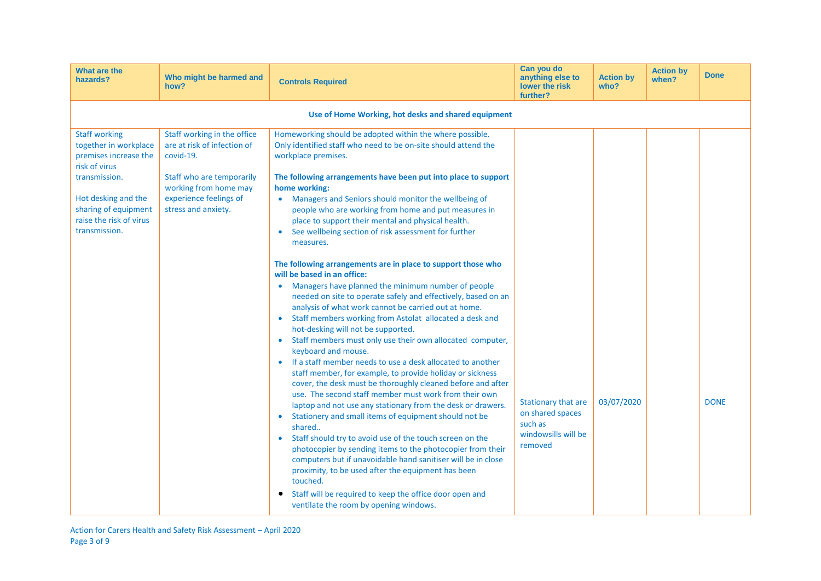| What are the<br>hazards?                                                                                                                                                                            | Who might be harmed and<br>how?                                                                                                                                                | <b>Controls Required</b>                                                                                                                                                                                                                                                                                                                                                                                                                                                                                                                                                                                                                                                                                                                                                                                                                                                                                                                                                                                                                                                                                                                                                                                                                                                                                                                                                                                                                                                                                                                                                                                                                                                                                                                                                                            | Can you do<br>anything else to<br>lower the risk<br>further?                                | <b>Action by</b><br>who? | <b>Action by</b><br>when? | <b>Done</b> |
|-----------------------------------------------------------------------------------------------------------------------------------------------------------------------------------------------------|--------------------------------------------------------------------------------------------------------------------------------------------------------------------------------|-----------------------------------------------------------------------------------------------------------------------------------------------------------------------------------------------------------------------------------------------------------------------------------------------------------------------------------------------------------------------------------------------------------------------------------------------------------------------------------------------------------------------------------------------------------------------------------------------------------------------------------------------------------------------------------------------------------------------------------------------------------------------------------------------------------------------------------------------------------------------------------------------------------------------------------------------------------------------------------------------------------------------------------------------------------------------------------------------------------------------------------------------------------------------------------------------------------------------------------------------------------------------------------------------------------------------------------------------------------------------------------------------------------------------------------------------------------------------------------------------------------------------------------------------------------------------------------------------------------------------------------------------------------------------------------------------------------------------------------------------------------------------------------------------------|---------------------------------------------------------------------------------------------|--------------------------|---------------------------|-------------|
|                                                                                                                                                                                                     |                                                                                                                                                                                | Use of Home Working, hot desks and shared equipment                                                                                                                                                                                                                                                                                                                                                                                                                                                                                                                                                                                                                                                                                                                                                                                                                                                                                                                                                                                                                                                                                                                                                                                                                                                                                                                                                                                                                                                                                                                                                                                                                                                                                                                                                 |                                                                                             |                          |                           |             |
| <b>Staff working</b><br>together in workplace<br>premises increase the<br>risk of virus<br>transmission.<br>Hot desking and the<br>sharing of equipment<br>raise the risk of virus<br>transmission. | Staff working in the office<br>are at risk of infection of<br>covid-19.<br>Staff who are temporarily<br>working from home may<br>experience feelings of<br>stress and anxiety. | Homeworking should be adopted within the where possible.<br>Only identified staff who need to be on-site should attend the<br>workplace premises.<br>The following arrangements have been put into place to support<br>home working:<br>Managers and Seniors should monitor the wellbeing of<br>$\bullet$<br>people who are working from home and put measures in<br>place to support their mental and physical health.<br>See wellbeing section of risk assessment for further<br>$\bullet$<br>measures.<br>The following arrangements are in place to support those who<br>will be based in an office:<br>Managers have planned the minimum number of people<br>needed on site to operate safely and effectively, based on an<br>analysis of what work cannot be carried out at home.<br>Staff members working from Astolat allocated a desk and<br>$\bullet$<br>hot-desking will not be supported.<br>Staff members must only use their own allocated computer,<br>$\bullet$<br>keyboard and mouse.<br>If a staff member needs to use a desk allocated to another<br>staff member, for example, to provide holiday or sickness<br>cover, the desk must be thoroughly cleaned before and after<br>use. The second staff member must work from their own<br>laptop and not use any stationary from the desk or drawers.<br>Stationery and small items of equipment should not be<br>$\bullet$<br>shared<br>Staff should try to avoid use of the touch screen on the<br>$\bullet$<br>photocopier by sending items to the photocopier from their<br>computers but if unavoidable hand sanitiser will be in close<br>proximity, to be used after the equipment has been<br>touched.<br>Staff will be required to keep the office door open and<br>$\bullet$<br>ventilate the room by opening windows. | <b>Stationary that are</b><br>on shared spaces<br>such as<br>windowsills will be<br>removed | 03/07/2020               |                           | <b>DONE</b> |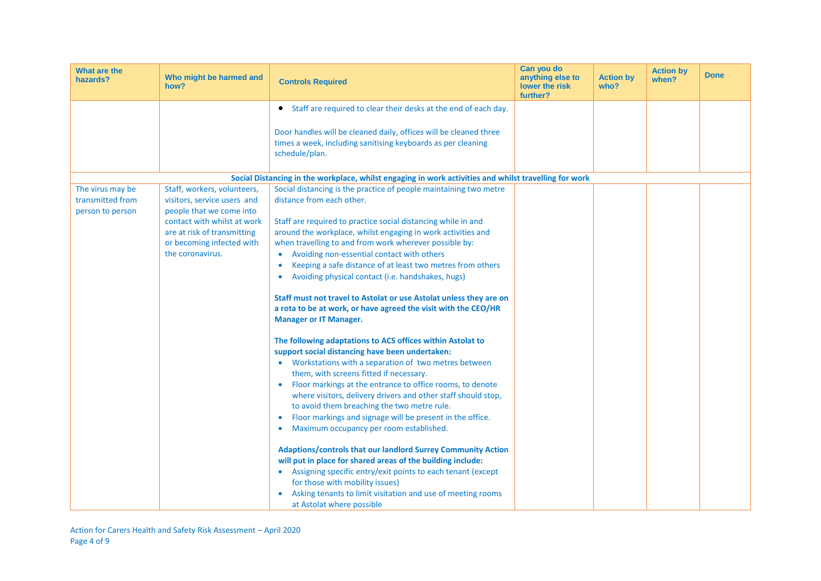| What are the<br>hazards?                                 | Who might be harmed and<br>how?                                                                                                                                                                       | <b>Controls Required</b>                                                                                                                                                                                                                                                                                                                                                                                                                                                                                                                                                                                                                                                                                                                                                                                                                                                                                                                                                                                                                                                                                                                                                                                                                                                                                                                                                                                                                                                                                           | Can you do<br>anything else to<br>lower the risk<br>further? | <b>Action by</b><br>who? | <b>Action by</b><br>when? | <b>Done</b> |
|----------------------------------------------------------|-------------------------------------------------------------------------------------------------------------------------------------------------------------------------------------------------------|--------------------------------------------------------------------------------------------------------------------------------------------------------------------------------------------------------------------------------------------------------------------------------------------------------------------------------------------------------------------------------------------------------------------------------------------------------------------------------------------------------------------------------------------------------------------------------------------------------------------------------------------------------------------------------------------------------------------------------------------------------------------------------------------------------------------------------------------------------------------------------------------------------------------------------------------------------------------------------------------------------------------------------------------------------------------------------------------------------------------------------------------------------------------------------------------------------------------------------------------------------------------------------------------------------------------------------------------------------------------------------------------------------------------------------------------------------------------------------------------------------------------|--------------------------------------------------------------|--------------------------|---------------------------|-------------|
|                                                          |                                                                                                                                                                                                       | • Staff are required to clear their desks at the end of each day.                                                                                                                                                                                                                                                                                                                                                                                                                                                                                                                                                                                                                                                                                                                                                                                                                                                                                                                                                                                                                                                                                                                                                                                                                                                                                                                                                                                                                                                  |                                                              |                          |                           |             |
|                                                          |                                                                                                                                                                                                       | Door handles will be cleaned daily, offices will be cleaned three<br>times a week, including sanitising keyboards as per cleaning<br>schedule/plan.                                                                                                                                                                                                                                                                                                                                                                                                                                                                                                                                                                                                                                                                                                                                                                                                                                                                                                                                                                                                                                                                                                                                                                                                                                                                                                                                                                |                                                              |                          |                           |             |
|                                                          |                                                                                                                                                                                                       | Social Distancing in the workplace, whilst engaging in work activities and whilst travelling for work                                                                                                                                                                                                                                                                                                                                                                                                                                                                                                                                                                                                                                                                                                                                                                                                                                                                                                                                                                                                                                                                                                                                                                                                                                                                                                                                                                                                              |                                                              |                          |                           |             |
| The virus may be<br>transmitted from<br>person to person | Staff, workers, volunteers,<br>visitors, service users and<br>people that we come into<br>contact with whilst at work<br>are at risk of transmitting<br>or becoming infected with<br>the coronavirus. | Social distancing is the practice of people maintaining two metre<br>distance from each other.<br>Staff are required to practice social distancing while in and<br>around the workplace, whilst engaging in work activities and<br>when travelling to and from work wherever possible by:<br>Avoiding non-essential contact with others<br>$\bullet$<br>Keeping a safe distance of at least two metres from others<br>$\bullet$<br>Avoiding physical contact (i.e. handshakes, hugs)<br>$\bullet$<br>Staff must not travel to Astolat or use Astolat unless they are on<br>a rota to be at work, or have agreed the visit with the CEO/HR<br><b>Manager or IT Manager.</b><br>The following adaptations to ACS offices within Astolat to<br>support social distancing have been undertaken:<br>Workstations with a separation of two metres between<br>them, with screens fitted if necessary.<br>Floor markings at the entrance to office rooms, to denote<br>where visitors, delivery drivers and other staff should stop,<br>to avoid them breaching the two metre rule.<br>Floor markings and signage will be present in the office.<br>Maximum occupancy per room established.<br>Adaptions/controls that our landlord Surrey Community Action<br>will put in place for shared areas of the building include:<br>• Assigning specific entry/exit points to each tenant (except<br>for those with mobility issues)<br>Asking tenants to limit visitation and use of meeting rooms<br>at Astolat where possible |                                                              |                          |                           |             |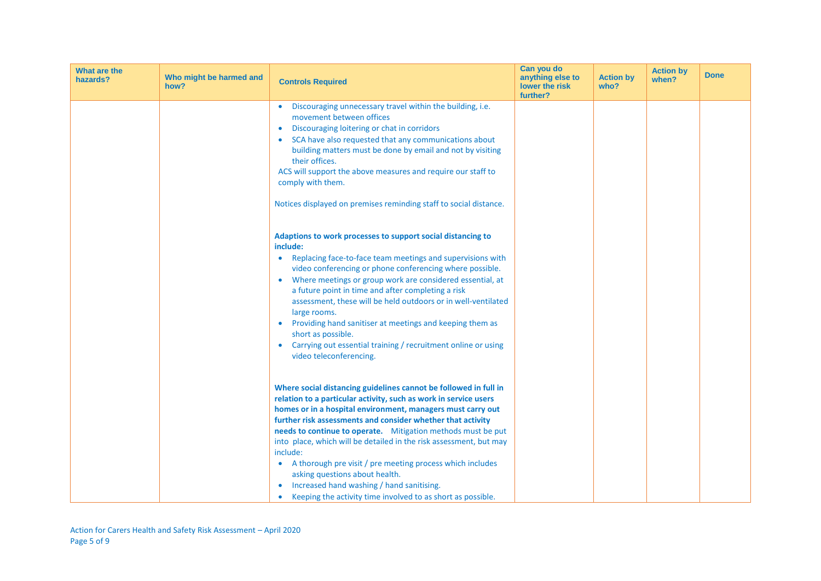| What are the<br>hazards? | Who might be harmed and<br>how? | <b>Controls Required</b>                                                                                                                                                                                                                                                                                                                                                                                                                                                                                                                                                                                                                     | Can you do<br>anything else to<br>lower the risk<br>further? | <b>Action by</b><br>who? | <b>Action by</b><br>when? | <b>Done</b> |
|--------------------------|---------------------------------|----------------------------------------------------------------------------------------------------------------------------------------------------------------------------------------------------------------------------------------------------------------------------------------------------------------------------------------------------------------------------------------------------------------------------------------------------------------------------------------------------------------------------------------------------------------------------------------------------------------------------------------------|--------------------------------------------------------------|--------------------------|---------------------------|-------------|
|                          |                                 | Discouraging unnecessary travel within the building, i.e.<br>movement between offices<br>Discouraging loitering or chat in corridors<br>SCA have also requested that any communications about<br>building matters must be done by email and not by visiting<br>their offices.<br>ACS will support the above measures and require our staff to<br>comply with them.<br>Notices displayed on premises reminding staff to social distance.                                                                                                                                                                                                      |                                                              |                          |                           |             |
|                          |                                 | Adaptions to work processes to support social distancing to<br>include:<br>Replacing face-to-face team meetings and supervisions with<br>video conferencing or phone conferencing where possible.<br>Where meetings or group work are considered essential, at<br>$\bullet$<br>a future point in time and after completing a risk<br>assessment, these will be held outdoors or in well-ventilated<br>large rooms.<br>Providing hand sanitiser at meetings and keeping them as<br>short as possible.<br>Carrying out essential training / recruitment online or using<br>video teleconferencing.                                             |                                                              |                          |                           |             |
|                          |                                 | Where social distancing guidelines cannot be followed in full in<br>relation to a particular activity, such as work in service users<br>homes or in a hospital environment, managers must carry out<br>further risk assessments and consider whether that activity<br>needs to continue to operate. Mitigation methods must be put<br>into place, which will be detailed in the risk assessment, but may<br>include:<br>A thorough pre visit / pre meeting process which includes<br>$\bullet$<br>asking questions about health.<br>Increased hand washing / hand sanitising.<br>Keeping the activity time involved to as short as possible. |                                                              |                          |                           |             |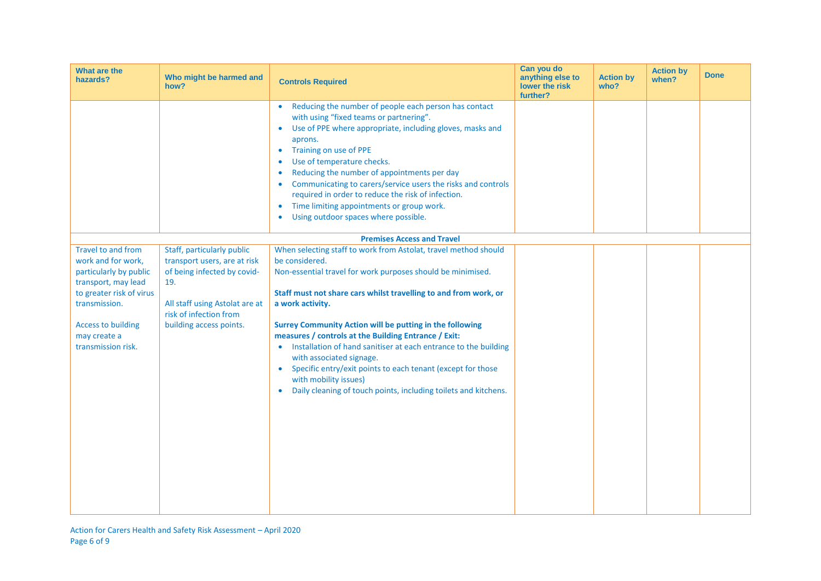| <b>What are the</b><br>hazards?                                                                                                                                                                                  | Who might be harmed and<br>how?                                                                                                                                                         | <b>Controls Required</b>                                                                                                                                                                                                                                                                                                                                                                                                                                                                                                                                                                                                                           | Can you do<br>anything else to<br>lower the risk<br>further? | <b>Action by</b><br>who? | <b>Action by</b><br>when? | <b>Done</b> |
|------------------------------------------------------------------------------------------------------------------------------------------------------------------------------------------------------------------|-----------------------------------------------------------------------------------------------------------------------------------------------------------------------------------------|----------------------------------------------------------------------------------------------------------------------------------------------------------------------------------------------------------------------------------------------------------------------------------------------------------------------------------------------------------------------------------------------------------------------------------------------------------------------------------------------------------------------------------------------------------------------------------------------------------------------------------------------------|--------------------------------------------------------------|--------------------------|---------------------------|-------------|
|                                                                                                                                                                                                                  |                                                                                                                                                                                         | Reducing the number of people each person has contact<br>$\bullet$<br>with using "fixed teams or partnering".<br>Use of PPE where appropriate, including gloves, masks and<br>$\bullet$<br>aprons.<br>Training on use of PPE<br>$\bullet$<br>Use of temperature checks.<br>Reducing the number of appointments per day<br>$\bullet$<br>Communicating to carers/service users the risks and controls<br>required in order to reduce the risk of infection.<br>Time limiting appointments or group work.<br>$\bullet$<br>Using outdoor spaces where possible.<br>$\bullet$                                                                           |                                                              |                          |                           |             |
|                                                                                                                                                                                                                  |                                                                                                                                                                                         | <b>Premises Access and Travel</b>                                                                                                                                                                                                                                                                                                                                                                                                                                                                                                                                                                                                                  |                                                              |                          |                           |             |
| <b>Travel to and from</b><br>work and for work,<br>particularly by public<br>transport, may lead<br>to greater risk of virus<br>transmission.<br><b>Access to building</b><br>may create a<br>transmission risk. | Staff, particularly public<br>transport users, are at risk<br>of being infected by covid-<br>19.<br>All staff using Astolat are at<br>risk of infection from<br>building access points. | When selecting staff to work from Astolat, travel method should<br>be considered.<br>Non-essential travel for work purposes should be minimised.<br>Staff must not share cars whilst travelling to and from work, or<br>a work activity.<br>Surrey Community Action will be putting in the following<br>measures / controls at the Building Entrance / Exit:<br>• Installation of hand sanitiser at each entrance to the building<br>with associated signage.<br>Specific entry/exit points to each tenant (except for those<br>$\bullet$<br>with mobility issues)<br>Daily cleaning of touch points, including toilets and kitchens.<br>$\bullet$ |                                                              |                          |                           |             |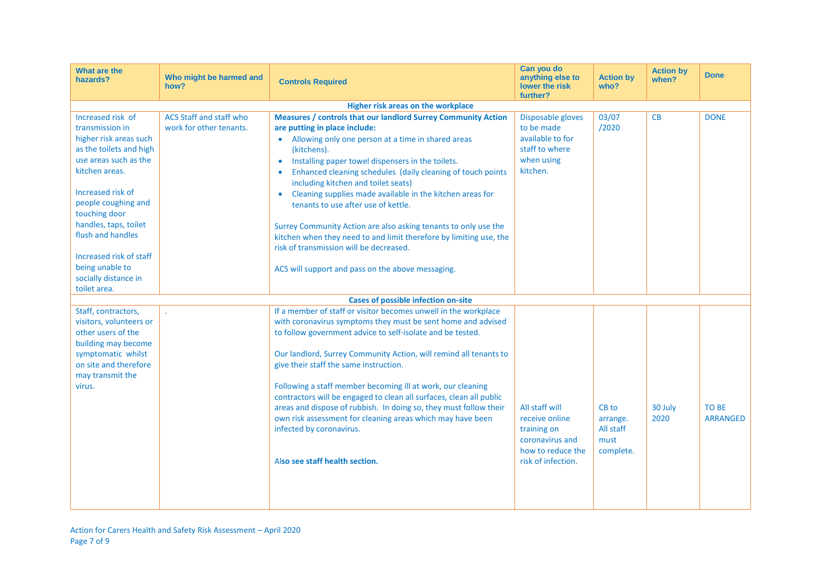| What are the<br>hazards?                                                                                                                                                                                                                                                                                                              | Who might be harmed and<br>how?                           | <b>Controls Required</b>                                                                                                                                                                                                                                                                                                                                                                                                                                                                                                                                                                                                                                                                          | Can you do<br>anything else to<br>lower the risk<br>further?                                                  | <b>Action by</b><br>who?                            | <b>Action by</b><br>when? | <b>Done</b>                     |
|---------------------------------------------------------------------------------------------------------------------------------------------------------------------------------------------------------------------------------------------------------------------------------------------------------------------------------------|-----------------------------------------------------------|---------------------------------------------------------------------------------------------------------------------------------------------------------------------------------------------------------------------------------------------------------------------------------------------------------------------------------------------------------------------------------------------------------------------------------------------------------------------------------------------------------------------------------------------------------------------------------------------------------------------------------------------------------------------------------------------------|---------------------------------------------------------------------------------------------------------------|-----------------------------------------------------|---------------------------|---------------------------------|
|                                                                                                                                                                                                                                                                                                                                       |                                                           | Higher risk areas on the workplace                                                                                                                                                                                                                                                                                                                                                                                                                                                                                                                                                                                                                                                                |                                                                                                               |                                                     |                           |                                 |
| Increased risk of<br>transmission in<br>higher risk areas such<br>as the toilets and high<br>use areas such as the<br>kitchen areas.<br>Increased risk of<br>people coughing and<br>touching door<br>handles, taps, toilet<br>flush and handles<br>Increased risk of staff<br>being unable to<br>socially distance in<br>toilet area. | <b>ACS Staff and staff who</b><br>work for other tenants. | <b>Measures / controls that our landlord Surrey Community Action</b><br>are putting in place include:<br>• Allowing only one person at a time in shared areas<br>(kitchens).<br>Installing paper towel dispensers in the toilets.<br>$\bullet$<br>Enhanced cleaning schedules (daily cleaning of touch points<br>including kitchen and toilet seats)<br>Cleaning supplies made available in the kitchen areas for<br>tenants to use after use of kettle.<br>Surrey Community Action are also asking tenants to only use the<br>kitchen when they need to and limit therefore by limiting use, the<br>risk of transmission will be decreased.<br>ACS will support and pass on the above messaging. | Disposable gloves<br>to be made<br>available to for<br>staff to where<br>when using<br>kitchen.               | 03/07<br>/2020                                      | CB                        | <b>DONE</b>                     |
|                                                                                                                                                                                                                                                                                                                                       |                                                           | <b>Cases of possible infection on-site</b>                                                                                                                                                                                                                                                                                                                                                                                                                                                                                                                                                                                                                                                        |                                                                                                               |                                                     |                           |                                 |
| Staff, contractors,<br>visitors, volunteers or<br>other users of the<br>building may become<br>symptomatic whilst<br>on site and therefore<br>may transmit the<br>virus.                                                                                                                                                              |                                                           | If a member of staff or visitor becomes unwell in the workplace<br>with coronavirus symptoms they must be sent home and advised<br>to follow government advice to self-isolate and be tested.<br>Our landlord, Surrey Community Action, will remind all tenants to<br>give their staff the same instruction.<br>Following a staff member becoming ill at work, our cleaning<br>contractors will be engaged to clean all surfaces, clean all public<br>areas and dispose of rubbish. In doing so, they must follow their<br>own risk assessment for cleaning areas which may have been<br>infected by coronavirus.<br>Also see staff health section.                                               | All staff will<br>receive online<br>training on<br>coronavirus and<br>how to reduce the<br>risk of infection. | CB to<br>arrange.<br>All staff<br>must<br>complete. | 30 July<br>2020           | <b>TO BE</b><br><b>ARRANGED</b> |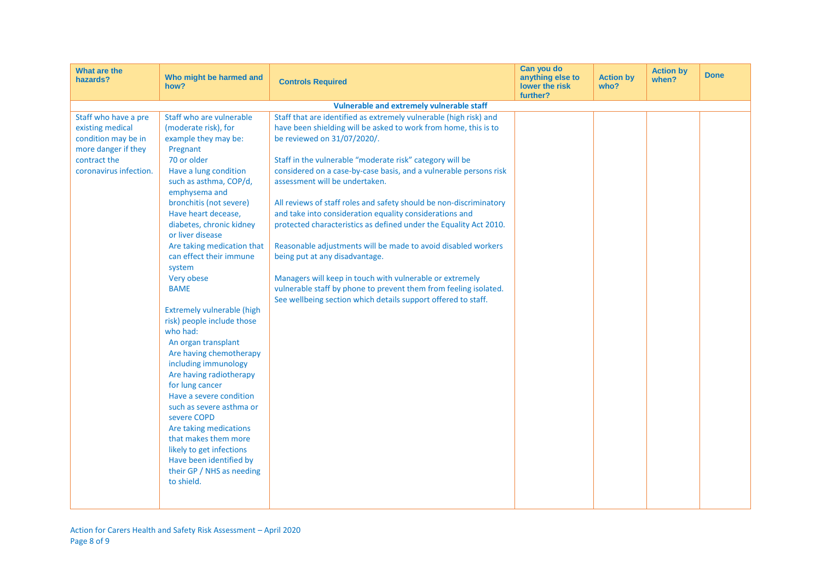| What are the<br>hazards?<br>how?                                                                                                 | Who might be harmed and                                                                                                                                                                                                                                                                                                                                                                                                                                                                                                                                                                                                                                                                                                                                                                                    | <b>Controls Required</b>                                                                                                                                                                                                                                                                                                                                                                                                                                                                                                                                                                                                                                                                                                                                                                                                                         | Can you do<br>anything else to<br>lower the risk<br>further? | <b>Action by</b><br>who? | <b>Action by</b><br>when? | <b>Done</b> |
|----------------------------------------------------------------------------------------------------------------------------------|------------------------------------------------------------------------------------------------------------------------------------------------------------------------------------------------------------------------------------------------------------------------------------------------------------------------------------------------------------------------------------------------------------------------------------------------------------------------------------------------------------------------------------------------------------------------------------------------------------------------------------------------------------------------------------------------------------------------------------------------------------------------------------------------------------|--------------------------------------------------------------------------------------------------------------------------------------------------------------------------------------------------------------------------------------------------------------------------------------------------------------------------------------------------------------------------------------------------------------------------------------------------------------------------------------------------------------------------------------------------------------------------------------------------------------------------------------------------------------------------------------------------------------------------------------------------------------------------------------------------------------------------------------------------|--------------------------------------------------------------|--------------------------|---------------------------|-------------|
|                                                                                                                                  |                                                                                                                                                                                                                                                                                                                                                                                                                                                                                                                                                                                                                                                                                                                                                                                                            | Vulnerable and extremely vulnerable staff                                                                                                                                                                                                                                                                                                                                                                                                                                                                                                                                                                                                                                                                                                                                                                                                        |                                                              |                          |                           |             |
| Staff who have a pre<br>existing medical<br>condition may be in<br>more danger if they<br>contract the<br>coronavirus infection. | Staff who are vulnerable<br>(moderate risk), for<br>example they may be:<br>Pregnant<br>70 or older<br>Have a lung condition<br>such as asthma, COP/d,<br>emphysema and<br>bronchitis (not severe)<br>Have heart decease,<br>diabetes, chronic kidney<br>or liver disease<br>Are taking medication that<br>can effect their immune<br>system<br>Very obese<br><b>BAME</b><br><b>Extremely vulnerable (high</b><br>risk) people include those<br>who had:<br>An organ transplant<br>Are having chemotherapy<br>including immunology<br>Are having radiotherapy<br>for lung cancer<br>Have a severe condition<br>such as severe asthma or<br>severe COPD<br>Are taking medications<br>that makes them more<br>likely to get infections<br>Have been identified by<br>their GP / NHS as needing<br>to shield. | Staff that are identified as extremely vulnerable (high risk) and<br>have been shielding will be asked to work from home, this is to<br>be reviewed on 31/07/2020/.<br>Staff in the vulnerable "moderate risk" category will be<br>considered on a case-by-case basis, and a vulnerable persons risk<br>assessment will be undertaken.<br>All reviews of staff roles and safety should be non-discriminatory<br>and take into consideration equality considerations and<br>protected characteristics as defined under the Equality Act 2010.<br>Reasonable adjustments will be made to avoid disabled workers<br>being put at any disadvantage.<br>Managers will keep in touch with vulnerable or extremely<br>vulnerable staff by phone to prevent them from feeling isolated.<br>See wellbeing section which details support offered to staff. |                                                              |                          |                           |             |